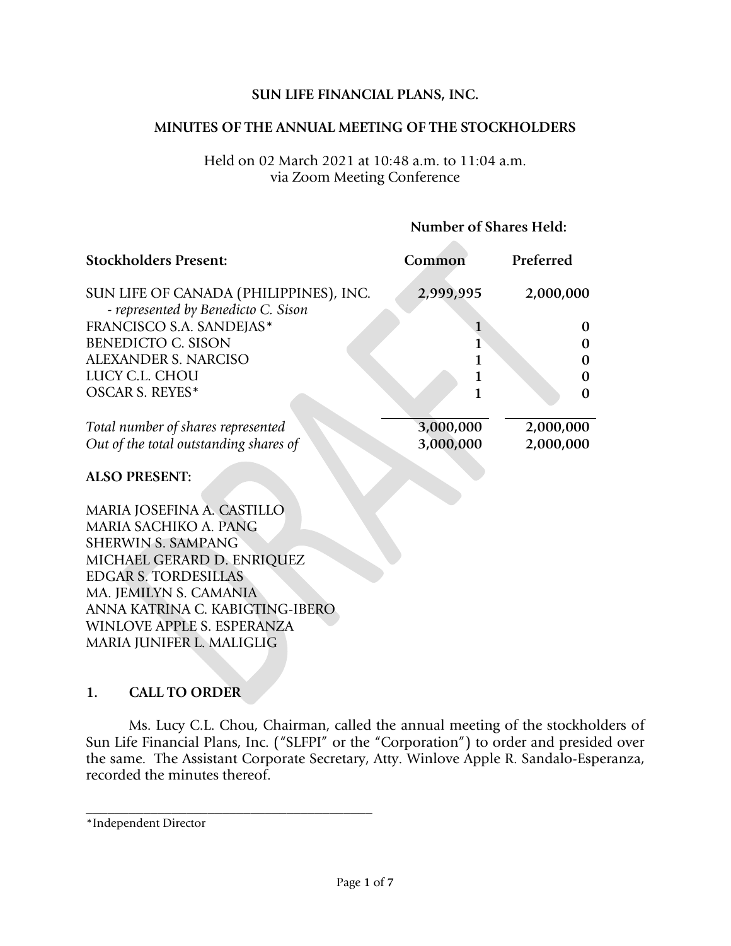### **SUN LIFE FINANCIAL PLANS, INC.**

#### **MINUTES OF THE ANNUAL MEETING OF THE STOCKHOLDERS**

#### Held on 02 March 2021 at 10:48 a.m. to 11:04 a.m. via Zoom Meeting Conference

#### **Number of Shares Held:**

 $\mathcal{L}_{\mathcal{A}}$ 

| <b>Stockholders Present:</b>                                                  | Common       | Preferred |
|-------------------------------------------------------------------------------|--------------|-----------|
| SUN LIFE OF CANADA (PHILIPPINES), INC.<br>- represented by Benedicto C. Sison | 2,999,995    | 2,000,000 |
| FRANCISCO S.A. SANDEJAS*                                                      | $\mathbf{1}$ | $\Omega$  |
| <b>BENEDICTO C. SISON</b>                                                     | 1            | 0         |
| <b>ALEXANDER S. NARCISO</b>                                                   | 1            | 0         |
| LUCY C.L. CHOU                                                                | 1            | 0         |
| <b>OSCAR S. REYES*</b>                                                        |              | 0         |
| Total number of shares represented                                            | 3,000,000    | 2,000,000 |
| Out of the total outstanding shares of                                        | 3,000,000    | 2,000,000 |
| <b>ALSO PRESENT:</b>                                                          |              |           |
| MARIA JOSEFINA A. CASTILLO                                                    |              |           |
| MARIA SACHIKO A. PANG                                                         |              |           |
| <b>SHERWIN S. SAMPANG</b>                                                     |              |           |
| MICHAEL GERARD D. ENRIQUEZ                                                    |              |           |
| <b>EDGAR S. TORDESILLAS</b>                                                   |              |           |
| MA. JEMILYN S. CAMANIA                                                        |              |           |
| ANNA KATRINA C. KABIGTING-IBERO                                               |              |           |
| WINLOVE APPLE S. ESPERANZA                                                    |              |           |
| MARIA JUNIFER L. MALIGLIG                                                     |              |           |

### **1. CALL TO ORDER**

Ms. Lucy C.L. Chou, Chairman, called the annual meeting of the stockholders of Sun Life Financial Plans, Inc. ("SLFPI" or the "Corporation") to order and presided over the same. The Assistant Corporate Secretary, Atty. Winlove Apple R. Sandalo-Esperanza, recorded the minutes thereof.

\_\_\_\_\_\_\_\_\_\_\_\_\_\_\_\_\_\_\_\_\_\_\_\_\_\_\_\_\_\_\_\_\_\_\_\_\_\_\_\_

<sup>\*</sup>Independent Director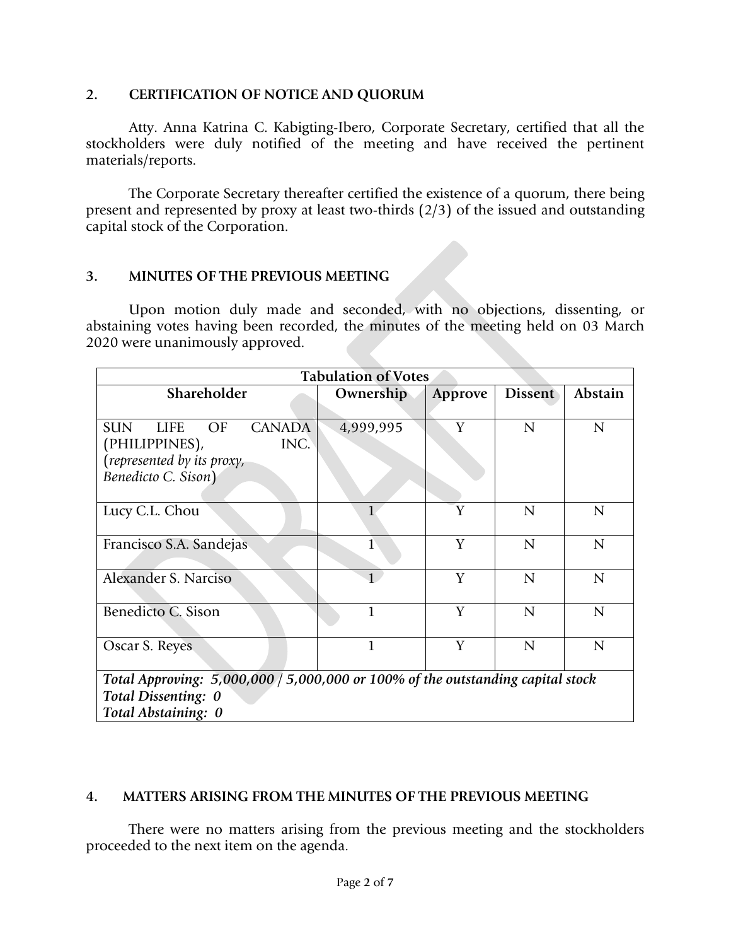### **2. CERTIFICATION OF NOTICE AND QUORUM**

Atty. Anna Katrina C. Kabigting-Ibero, Corporate Secretary, certified that all the stockholders were duly notified of the meeting and have received the pertinent materials/reports.

The Corporate Secretary thereafter certified the existence of a quorum, there being present and represented by proxy at least two-thirds (2/3) of the issued and outstanding capital stock of the Corporation.

## **3. MINUTES OF THE PREVIOUS MEETING**

Upon motion duly made and seconded, with no objections, dissenting, or abstaining votes having been recorded, the minutes of the meeting held on 03 March 2020 were unanimously approved.

| <b>Tabulation of Votes</b>                                                      |              |         |                |                |  |
|---------------------------------------------------------------------------------|--------------|---------|----------------|----------------|--|
| Shareholder                                                                     | Ownership    | Approve | <b>Dissent</b> | Abstain        |  |
| <b>SUN</b><br>OF<br><b>CANADA</b><br><b>LIFE</b>                                | 4,999,995    | Y       | $\overline{N}$ | $\overline{N}$ |  |
| INC.<br>(PHILIPPINES),<br>(represented by its proxy,                            |              |         |                |                |  |
| Benedicto C. Sison)                                                             |              |         |                |                |  |
| Lucy C.L. Chou                                                                  | 1            | Y       | $\overline{N}$ | $\mathsf{N}$   |  |
| Francisco S.A. Sandejas                                                         | 1            | Y       | $\overline{N}$ | $\mathsf{N}$   |  |
| Alexander S. Narciso                                                            | $\mathbf{1}$ | Y       | $\overline{N}$ | $\overline{N}$ |  |
| Benedicto C. Sison                                                              | 1            | Y       | $\overline{N}$ | $\overline{N}$ |  |
| Oscar S. Reyes                                                                  | $\mathbf{1}$ | Y       | $\overline{N}$ | $\overline{N}$ |  |
| Total Approving: $5,000,000/5,000,000$ or 100% of the outstanding capital stock |              |         |                |                |  |
| Total Dissenting: 0                                                             |              |         |                |                |  |
| Total Abstaining: 0                                                             |              |         |                |                |  |

## **4. MATTERS ARISING FROM THE MINUTES OF THE PREVIOUS MEETING**

There were no matters arising from the previous meeting and the stockholders proceeded to the next item on the agenda.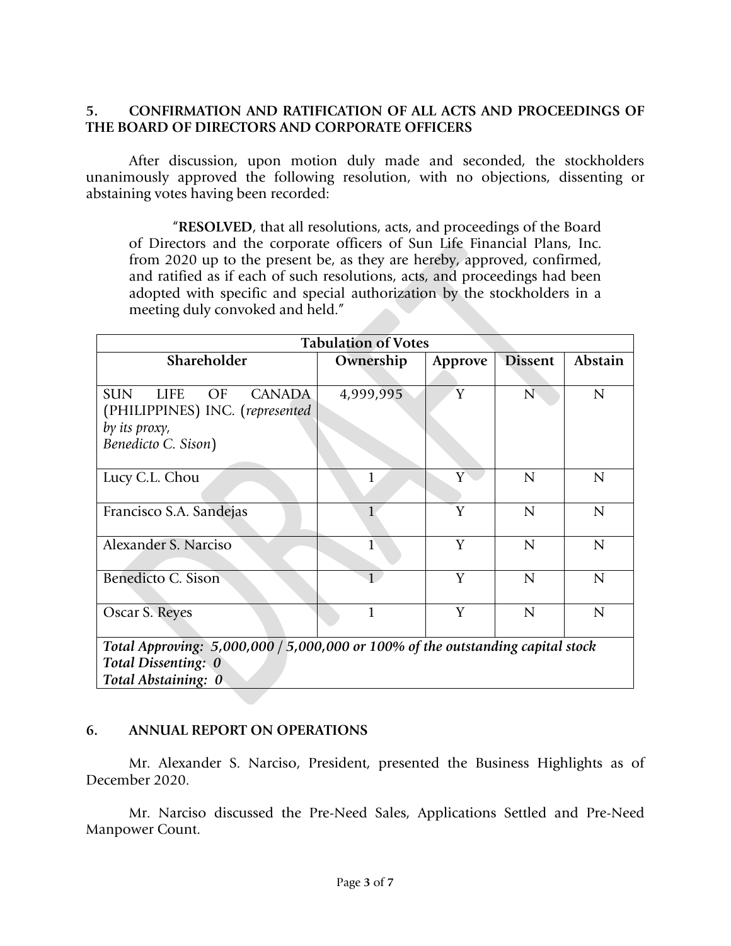## **5. CONFIRMATION AND RATIFICATION OF ALL ACTS AND PROCEEDINGS OF THE BOARD OF DIRECTORS AND CORPORATE OFFICERS**

After discussion, upon motion duly made and seconded, the stockholders unanimously approved the following resolution, with no objections, dissenting or abstaining votes having been recorded:

"**RESOLVED**, that all resolutions, acts, and proceedings of the Board of Directors and the corporate officers of Sun Life Financial Plans, Inc. from 2020 up to the present be, as they are hereby, approved, confirmed, and ratified as if each of such resolutions, acts, and proceedings had been adopted with specific and special authorization by the stockholders in a meeting duly convoked and held."

| <b>Tabulation of Votes</b>                                                      |              |         |                |                |  |  |
|---------------------------------------------------------------------------------|--------------|---------|----------------|----------------|--|--|
| Shareholder                                                                     | Ownership    | Approve | <b>Dissent</b> | Abstain        |  |  |
|                                                                                 |              |         |                |                |  |  |
| <b>SUN</b><br><b>LIFE</b><br>OF<br><b>CANADA</b>                                | 4,999,995    | Y       | $\mathbf N$    | $\mathbf N$    |  |  |
| (PHILIPPINES) INC. (represented                                                 |              |         |                |                |  |  |
| by its proxy,                                                                   |              |         |                |                |  |  |
| Benedicto C. Sison)                                                             |              |         |                |                |  |  |
|                                                                                 |              |         |                |                |  |  |
| Lucy C.L. Chou                                                                  |              | Y       | $\overline{N}$ | $\mathbf N$    |  |  |
|                                                                                 |              |         |                |                |  |  |
| Francisco S.A. Sandejas                                                         |              | Y       | $\overline{N}$ | $\mathbf N$    |  |  |
|                                                                                 |              |         |                |                |  |  |
| Alexander S. Narciso                                                            | 1            | Y       | $\overline{N}$ | $\overline{N}$ |  |  |
|                                                                                 |              |         |                |                |  |  |
| Benedicto C. Sison                                                              | $\mathbf{1}$ | Y       | $\overline{N}$ | $\mathbf N$    |  |  |
|                                                                                 |              |         |                |                |  |  |
| Oscar S. Reyes                                                                  |              | Y       | $\mathbf N$    | $\mathbf N$    |  |  |
|                                                                                 |              |         |                |                |  |  |
| Total Approving: $5,000,000/5,000,000$ or 100% of the outstanding capital stock |              |         |                |                |  |  |

*Total Approving: 5,000,000 / 5,000,000 or 100% of the outstanding capital stock Total Dissenting: 0 Total Abstaining: 0*

### **6. ANNUAL REPORT ON OPERATIONS**

Mr. Alexander S. Narciso, President, presented the Business Highlights as of December 2020.

Mr. Narciso discussed the Pre-Need Sales, Applications Settled and Pre-Need Manpower Count.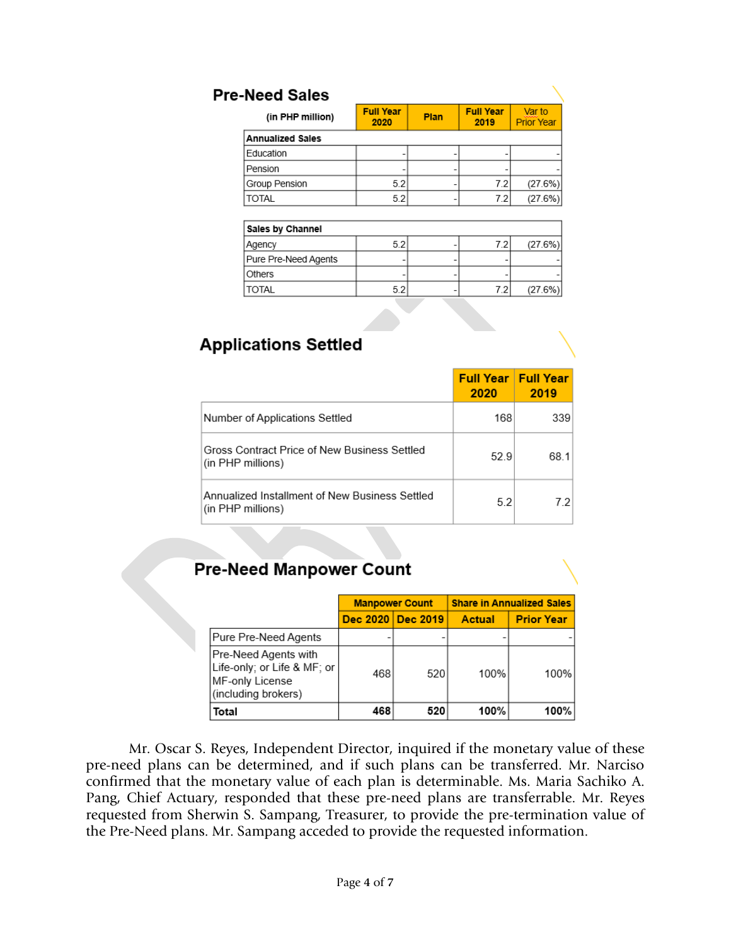| <b>Pre-Need Sales</b>   |                          |      |                          |                             |
|-------------------------|--------------------------|------|--------------------------|-----------------------------|
| (in PHP million)        | <b>Full Year</b><br>2020 | Plan | <b>Full Year</b><br>2019 | Var to<br><b>Prior Year</b> |
| <b>Annualized Sales</b> |                          |      |                          |                             |
| Education               |                          |      |                          |                             |
| Pension                 |                          |      |                          |                             |
| Group Pension           | 5.2                      |      | 7.2                      | (27.6%)                     |
| <b>TOTAL</b>            | 5.2                      |      | 7.2                      | (27.6%)                     |
| Sales by Channel        |                          |      |                          |                             |
| Agency                  | 5.2                      |      | 7.2                      | (27.6%)                     |
| Pure Pre-Need Agents    |                          |      |                          |                             |
| Others                  |                          |      |                          |                             |
| <b>TOTAL</b>            | 5.2                      |      | 7.2                      | (27.6%)                     |

# **Applications Settled**

|                                                                     | <b>Full Year   Full Year</b><br>2020 | 2019 |
|---------------------------------------------------------------------|--------------------------------------|------|
| Number of Applications Settled                                      | 168                                  | 339  |
| Gross Contract Price of New Business Settled<br>(in PHP millions)   | 52.9                                 | 68.1 |
| Annualized Installment of New Business Settled<br>(in PHP millions) | 5.2                                  | 721  |

# **Pre-Need Manpower Count**

|                                                                                                |     | <b>Manpower Count</b> | <b>Share in Annualized Sales</b> |                   |  |
|------------------------------------------------------------------------------------------------|-----|-----------------------|----------------------------------|-------------------|--|
|                                                                                                |     | Dec 2020 Dec 2019     | <b>Actual</b>                    | <b>Prior Year</b> |  |
| Pure Pre-Need Agents                                                                           |     |                       |                                  |                   |  |
| Pre-Need Agents with <br>Life-only; or Life & MF; or<br>MF-only License<br>(including brokers) | 468 | 520                   | 100%                             | 100%              |  |
| Total                                                                                          | 468 | 520                   | 100%                             | 100%              |  |

Mr. Oscar S. Reyes, Independent Director, inquired if the monetary value of these pre-need plans can be determined, and if such plans can be transferred. Mr. Narciso confirmed that the monetary value of each plan is determinable. Ms. Maria Sachiko A. Pang, Chief Actuary, responded that these pre-need plans are transferrable. Mr. Reyes requested from Sherwin S. Sampang, Treasurer, to provide the pre-termination value of the Pre-Need plans. Mr. Sampang acceded to provide the requested information.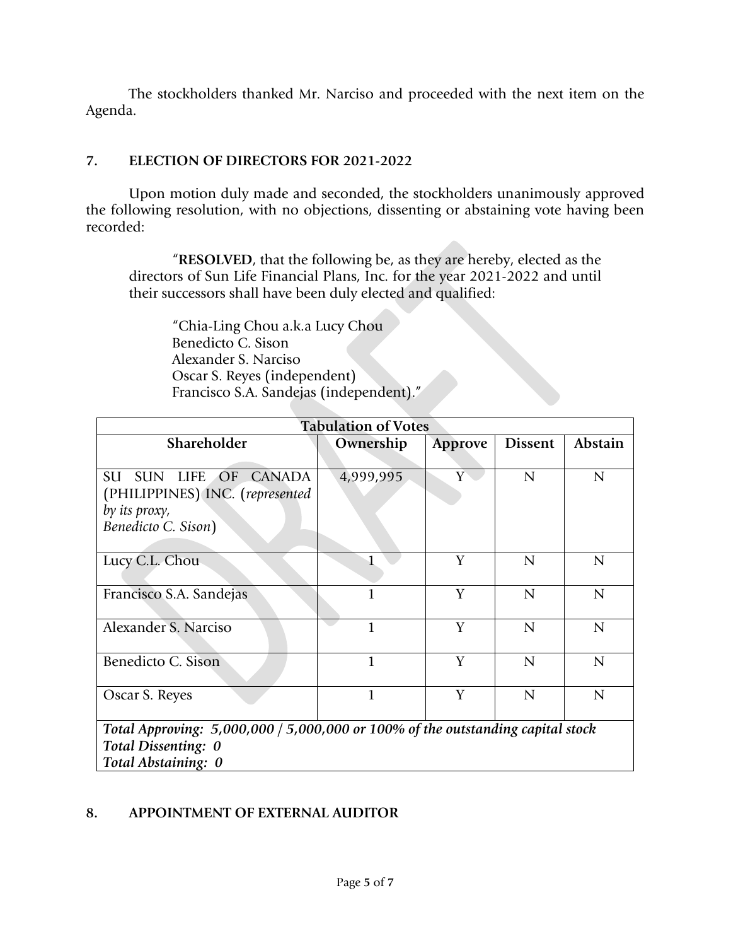The stockholders thanked Mr. Narciso and proceeded with the next item on the Agenda.

## **7. ELECTION OF DIRECTORS FOR 2021-2022**

Upon motion duly made and seconded, the stockholders unanimously approved the following resolution, with no objections, dissenting or abstaining vote having been recorded:

"**RESOLVED**, that the following be, as they are hereby, elected as the directors of Sun Life Financial Plans, Inc. for the year 2021-2022 and until their successors shall have been duly elected and qualified:

"Chia-Ling Chou a.k.a Lucy Chou Benedicto C. Sison Alexander S. Narciso Oscar S. Reyes (independent) Francisco S.A. Sandejas (independent)."

| <b>Tabulation of Votes</b>                                                                                                      |           |         |                |                |  |  |
|---------------------------------------------------------------------------------------------------------------------------------|-----------|---------|----------------|----------------|--|--|
| Shareholder                                                                                                                     | Ownership | Approve | <b>Dissent</b> | Abstain        |  |  |
| SU<br><b>SUN</b><br>LIFE OF<br><b>CANADA</b><br>(PHILIPPINES) INC. (represented<br>by its proxy,<br>Benedicto C. Sison)         | 4,999,995 | Y       | $\mathbf N$    | $\mathbf N$    |  |  |
| Lucy C.L. Chou                                                                                                                  |           | Y       | $\overline{N}$ | $\overline{N}$ |  |  |
| Francisco S.A. Sandejas                                                                                                         |           | Y       | $\mathbf N$    | ${\bf N}$      |  |  |
| Alexander S. Narciso                                                                                                            | 1         | Y       | $\mathbf N$    | $\mathbf N$    |  |  |
| Benedicto C. Sison                                                                                                              | 1         | Y       | $\mathsf{N}$   | $\mathsf{N}$   |  |  |
| Oscar S. Reyes                                                                                                                  | 1         | Y       | $\mathsf{N}$   | $\mathsf{N}$   |  |  |
| Total Approving: $5,000,000 / 5,000,000$ or 100% of the outstanding capital stock<br>Total Dissenting: 0<br>Total Abstaining: 0 |           |         |                |                |  |  |

## **8. APPOINTMENT OF EXTERNAL AUDITOR**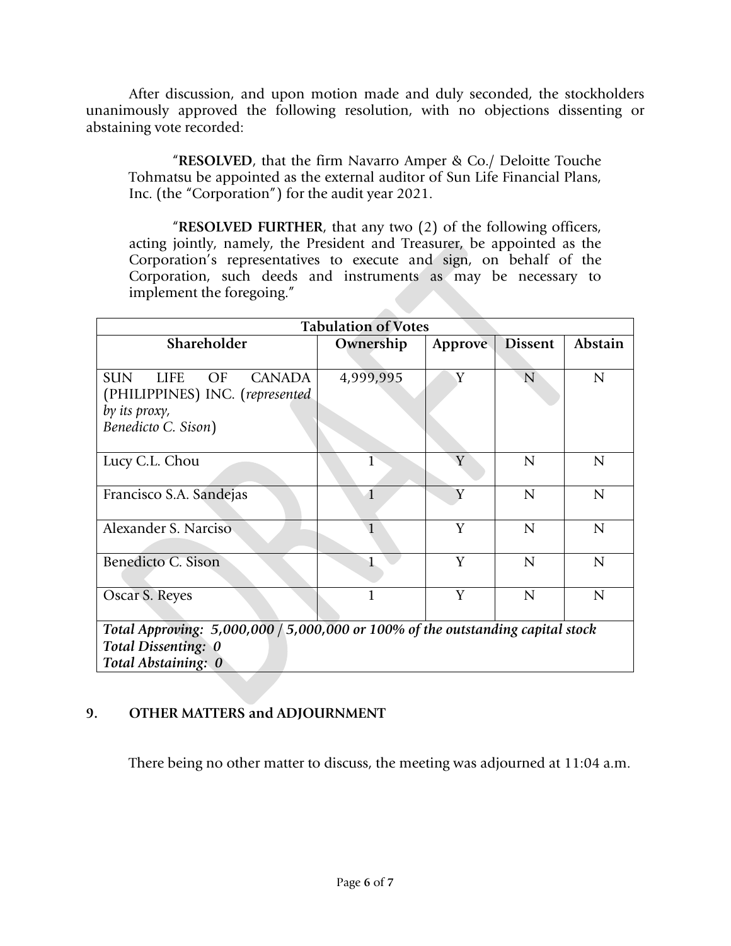After discussion, and upon motion made and duly seconded, the stockholders unanimously approved the following resolution, with no objections dissenting or abstaining vote recorded:

"**RESOLVED**, that the firm Navarro Amper & Co./ Deloitte Touche Tohmatsu be appointed as the external auditor of Sun Life Financial Plans, Inc. (the "Corporation") for the audit year 2021.

"**RESOLVED FURTHER**, that any two (2) of the following officers, acting jointly, namely, the President and Treasurer, be appointed as the Corporation's representatives to execute and sign, on behalf of the Corporation, such deeds and instruments as may be necessary to implement the foregoing."

| <b>Tabulation of Votes</b>                                                                                                      |              |         |                |             |  |  |
|---------------------------------------------------------------------------------------------------------------------------------|--------------|---------|----------------|-------------|--|--|
| Shareholder                                                                                                                     | Ownership    | Approve | <b>Dissent</b> | Abstain     |  |  |
| <b>SUN</b><br><b>LIFE</b><br>OF<br><b>CANADA</b><br>(PHILIPPINES) INC. (represented<br>by its proxy,                            | 4,999,995    | Y       | $\overline{N}$ | $\mathbf N$ |  |  |
| Benedicto C. Sison)                                                                                                             |              |         |                |             |  |  |
| Lucy C.L. Chou                                                                                                                  | 1            | Y       | $\overline{N}$ | $\mathbf N$ |  |  |
| Francisco S.A. Sandejas                                                                                                         | $\mathbf{1}$ | Y       | $\mathbf N$    | ${\bf N}$   |  |  |
| Alexander S. Narciso                                                                                                            |              | Y       | $\overline{N}$ | N           |  |  |
| Benedicto C. Sison                                                                                                              |              | Y       | $\mathbf N$    | $\mathbf N$ |  |  |
| Oscar S. Reyes                                                                                                                  |              | Y       | $\overline{N}$ | $\mathbf N$ |  |  |
| Total Approving: $5,000,000 / 5,000,000$ or 100% of the outstanding capital stock<br>Total Dissenting: 0<br>Total Abstaining: 0 |              |         |                |             |  |  |

## **9. OTHER MATTERS and ADJOURNMENT**

There being no other matter to discuss, the meeting was adjourned at 11:04 a.m.